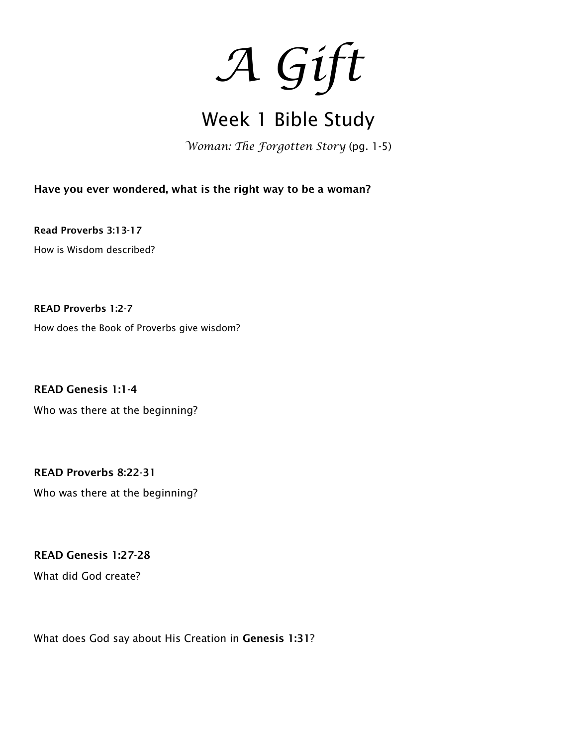*A Gift* 

## Week 1 Bible Study

*Woman: The Forgotten Story* (pg. 1-5)

Have you ever wondered, what is the right way to be a woman?

Read Proverbs 3:13-17 How is Wisdom described?

READ Proverbs 1:2-7 How does the Book of Proverbs give wisdom?

READ Genesis 1:1-4 Who was there at the beginning?

READ Proverbs 8:22-31 Who was there at the beginning?

READ Genesis 1:27-28

What did God create?

What does God say about His Creation in Genesis 1:31?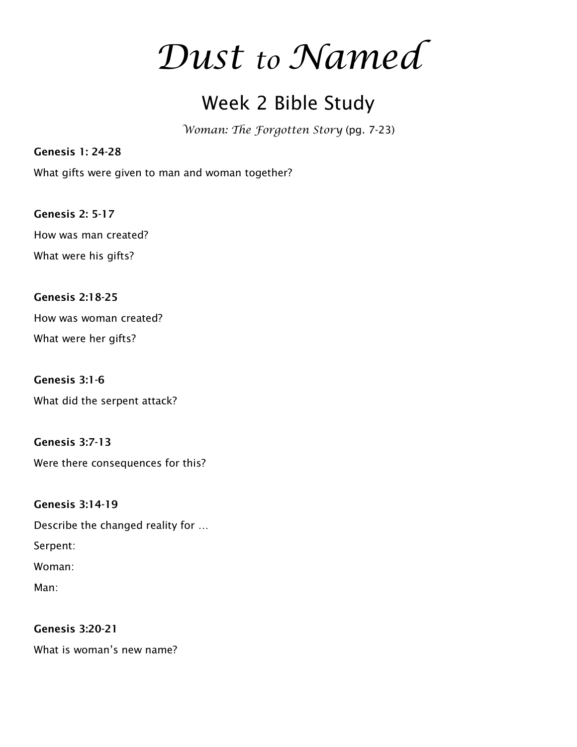# *Dust to Named*

### Week 2 Bible Study

*Woman: The Forgotten Story* (pg. 7-23)

What gifts were given to man and woman together?

Genesis 2: 5-17 How was man created? What were his gifts?

Genesis 1: 24-28

Genesis 2:18-25 How was woman created? What were her gifts?

Genesis 3:1-6 What did the serpent attack?

Genesis 3:7-13 Were there consequences for this?

Genesis 3:14-19 Describe the changed reality for … Serpent: Woman:

Man:

Genesis 3:20-21 What is woman's new name?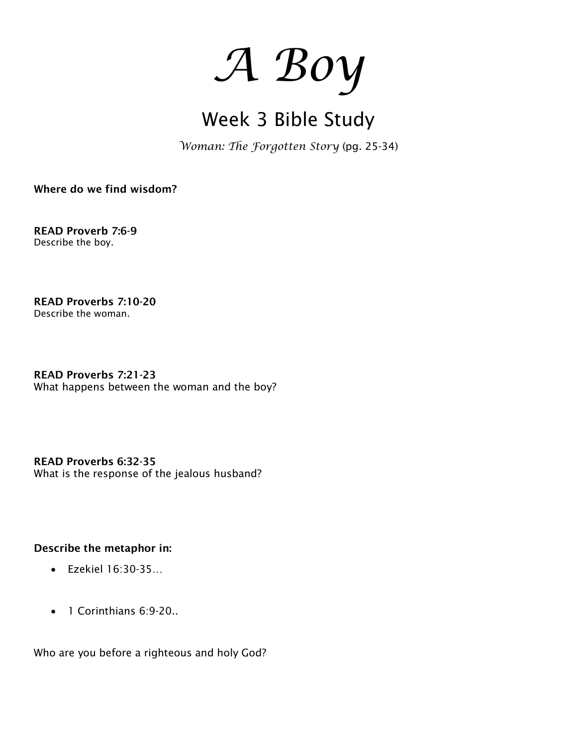

# Week 3 Bible Study

*Woman: The Forgotten Story* (pg. 25-34)

Where do we find wisdom?

READ Proverb 7:6-9 Describe the boy.

READ Proverbs 7:10-20 Describe the woman.

READ Proverbs 7:21-23 What happens between the woman and the boy?

READ Proverbs 6:32-35 What is the response of the jealous husband?

### Describe the metaphor in:

- Ezekiel 16:30-35…
- 1 Corinthians 6:9-20..

Who are you before a righteous and holy God?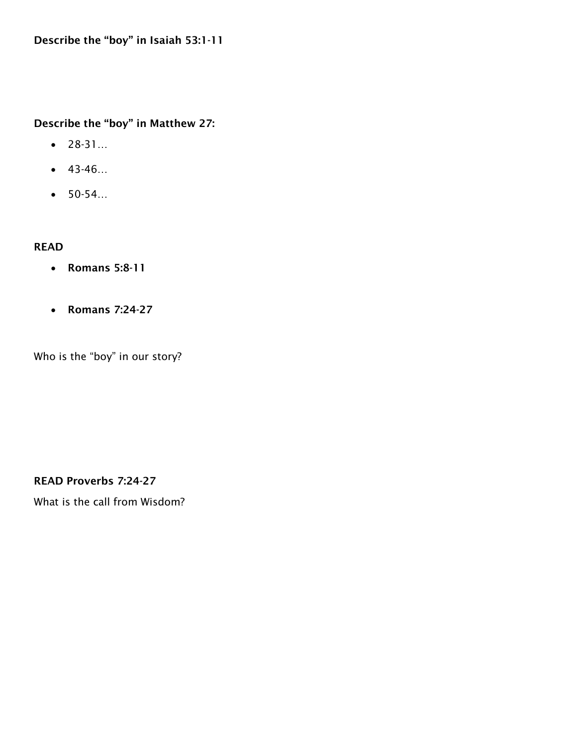### Describe the "boy" in Matthew 27:

- 28-31…
- 43-46…
- 50-54…

### READ

- Romans 5:8-11
- Romans 7:24-27

Who is the "boy" in our story?

READ Proverbs 7:24-27

What is the call from Wisdom?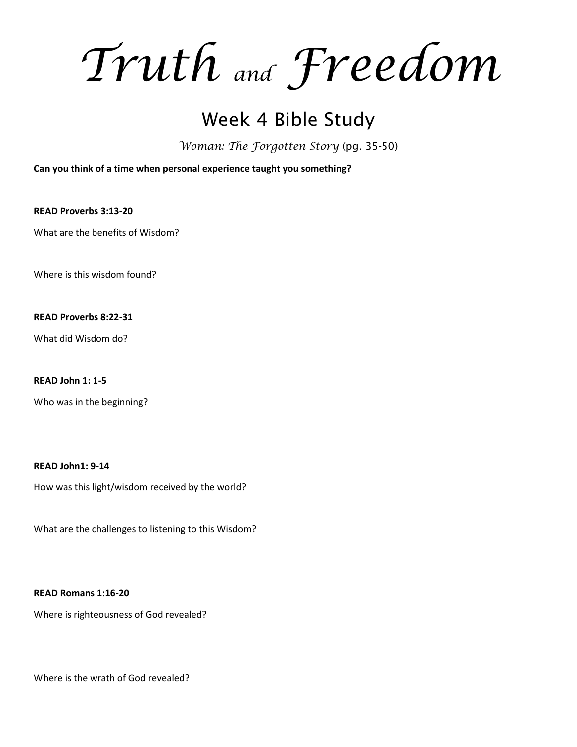*Truth and Freedom*

### Week 4 Bible Study

*Woman: The Forgotten Story* (pg. 35-50)

**Can you think of a time when personal experience taught you something?**

**READ Proverbs 3:13-20**

What are the benefits of Wisdom?

Where is this wisdom found?

**READ Proverbs 8:22-31**

What did Wisdom do?

**READ John 1: 1-5**

Who was in the beginning?

**READ John1: 9-14**

How was this light/wisdom received by the world?

What are the challenges to listening to this Wisdom?

**READ Romans 1:16-20**

Where is righteousness of God revealed?

Where is the wrath of God revealed?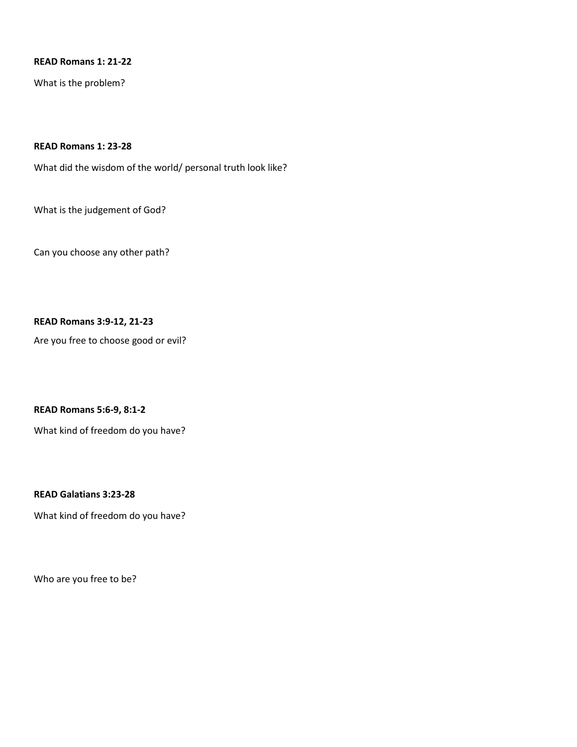#### **READ Romans 1: 21-22**

What is the problem?

### **READ Romans 1: 23-28**

What did the wisdom of the world/ personal truth look like?

What is the judgement of God?

Can you choose any other path?

#### **READ Romans 3:9-12, 21-23**

Are you free to choose good or evil?

**READ Romans 5:6-9, 8:1-2**

What kind of freedom do you have?

**READ Galatians 3:23-28**

What kind of freedom do you have?

Who are you free to be?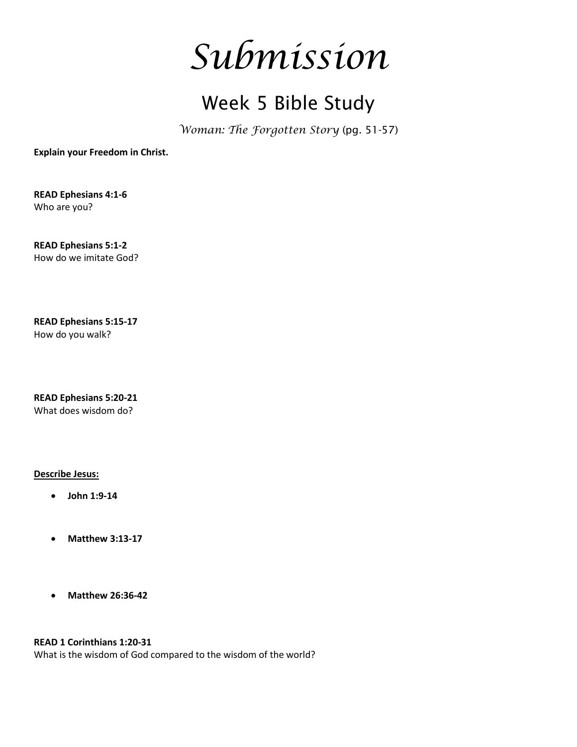

### Week 5 Bible Study

*Woman: The Forgotten Story* (pg. 51-57)

**Explain your Freedom in Christ.**

**READ Ephesians 4:1-6**  Who are you?

**READ Ephesians 5:1-2**  How do we imitate God?

**READ Ephesians 5:15-17**  How do you walk?

**READ Ephesians 5:20-21**  What does wisdom do?

**Describe Jesus:**

- **John 1:9-14**
- **Matthew 3:13-17**
- **Matthew 26:36-42**

**READ 1 Corinthians 1:20-31**

What is the wisdom of God compared to the wisdom of the world?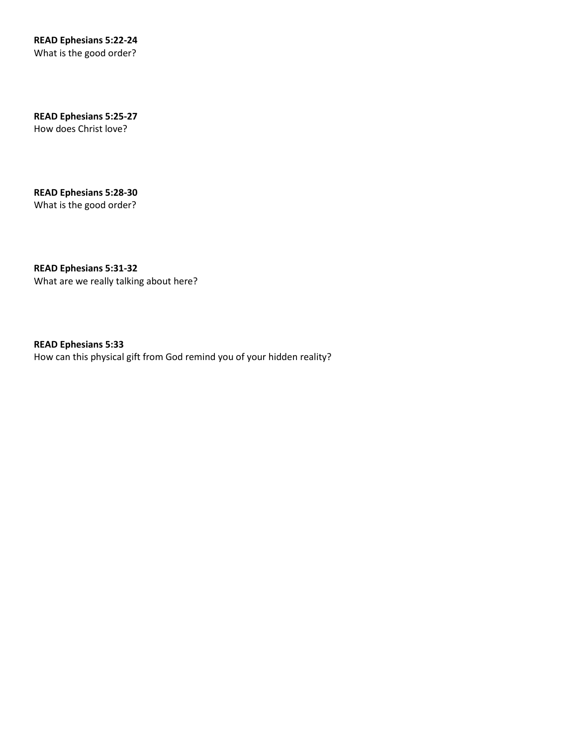**READ Ephesians 5:22-24** What is the good order?

**READ Ephesians 5:25-27** How does Christ love?

**READ Ephesians 5:28-30** What is the good order?

**READ Ephesians 5:31-32** What are we really talking about here?

**READ Ephesians 5:33** How can this physical gift from God remind you of your hidden reality?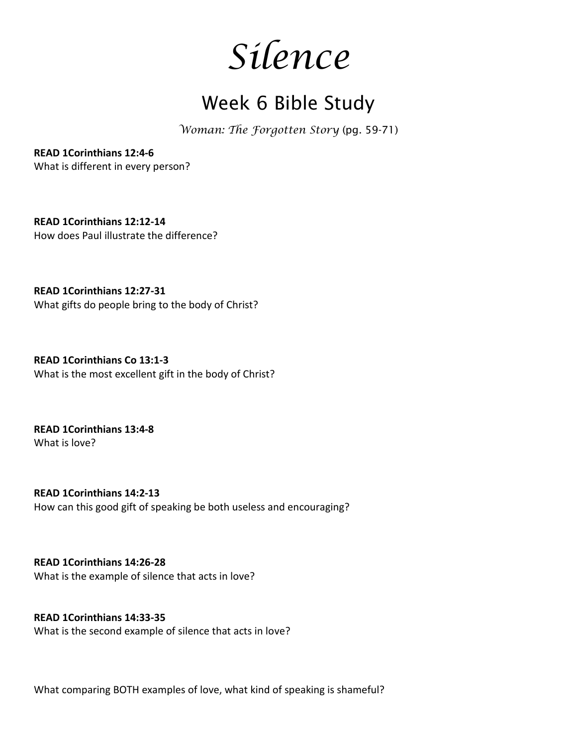*Silence*

### Week 6 Bible Study

*Woman: The Forgotten Story* (pg. 59-71)

**READ 1Corinthians 12:4-6** What is different in every person?

**READ 1Corinthians 12:12-14** How does Paul illustrate the difference?

**READ 1Corinthians 12:27-31** What gifts do people bring to the body of Christ?

**READ 1Corinthians Co 13:1-3** What is the most excellent gift in the body of Christ?

**READ 1Corinthians 13:4-8** What is love?

**READ 1Corinthians 14:2-13** How can this good gift of speaking be both useless and encouraging?

**READ 1Corinthians 14:26-28** What is the example of silence that acts in love?

**READ 1Corinthians 14:33-35** What is the second example of silence that acts in love?

What comparing BOTH examples of love, what kind of speaking is shameful?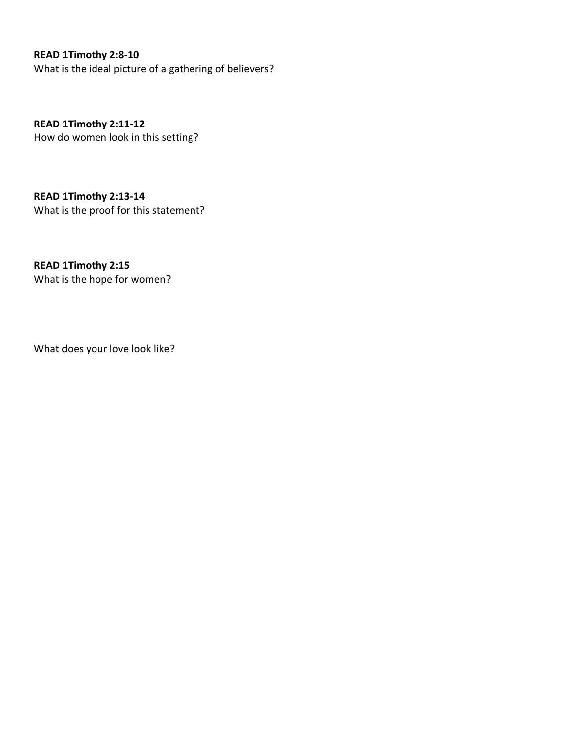### **READ 1Timothy 2:8-10**

What is the ideal picture of a gathering of believers?

**READ 1Timothy 2:11-12** How do women look in this setting?

**READ 1Timothy 2:13-14** What is the proof for this statement?

**READ 1Timothy 2:15** What is the hope for women?

What does your love look like?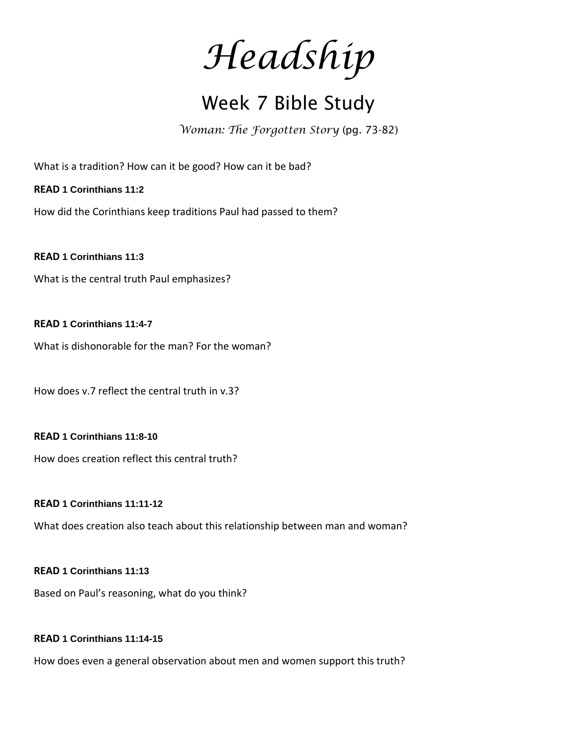*Headship*

### Week 7 Bible Study

*Woman: The Forgotten Story* (pg. 73-82)

What is a tradition? How can it be good? How can it be bad?

**READ 1 Corinthians 11:2**

How did the Corinthians keep traditions Paul had passed to them?

**READ 1 Corinthians 11:3**

What is the central truth Paul emphasizes?

### **READ 1 Corinthians 11:4-7**

What is dishonorable for the man? For the woman?

How does v.7 reflect the central truth in v.3?

#### **READ 1 Corinthians 11:8-10**

How does creation reflect this central truth?

#### **READ 1 Corinthians 11:11-12**

What does creation also teach about this relationship between man and woman?

#### **READ 1 Corinthians 11:13**

Based on Paul's reasoning, what do you think?

#### **READ 1 Corinthians 11:14-15**

How does even a general observation about men and women support this truth?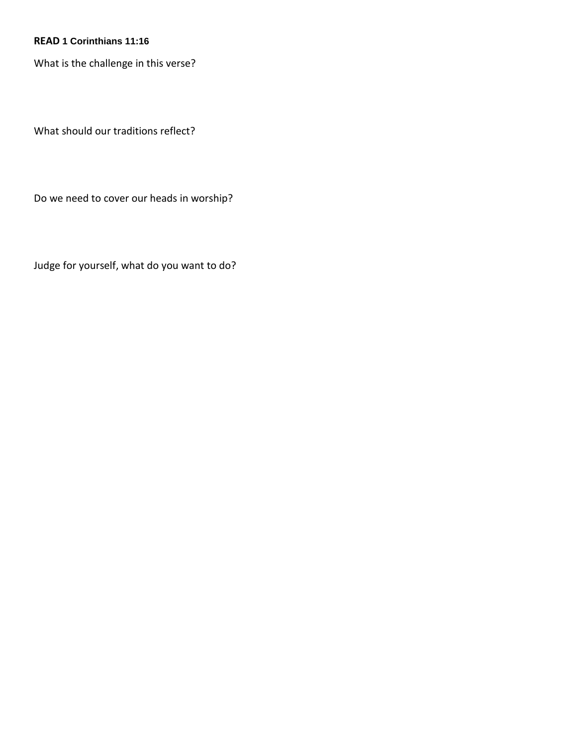### **READ 1 Corinthians 11:16**

What is the challenge in this verse?

What should our traditions reflect?

Do we need to cover our heads in worship?

Judge for yourself, what do you want to do?